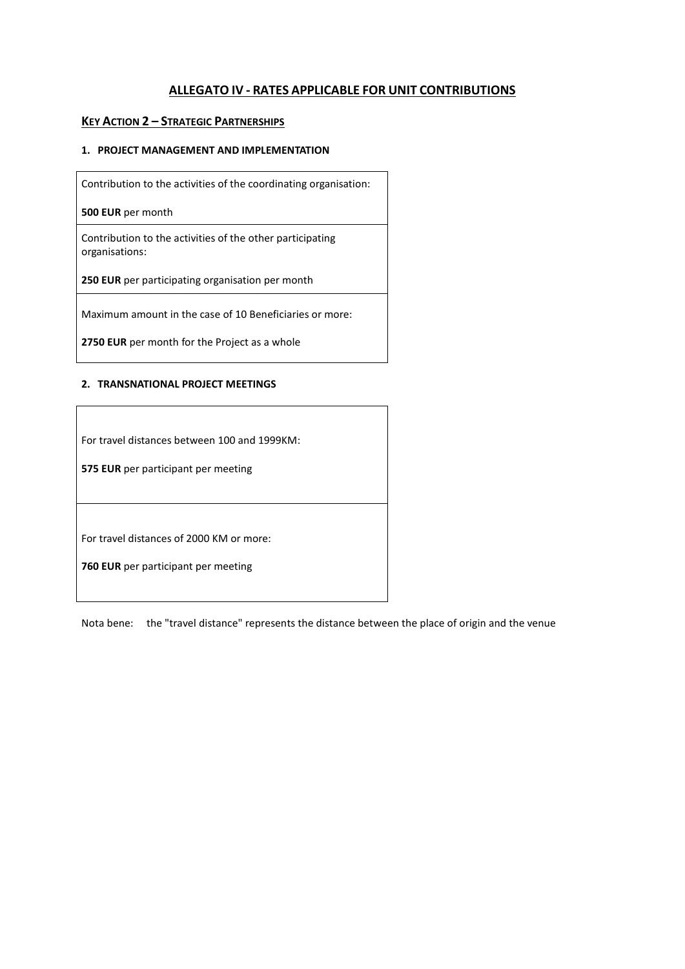## **ALLEGATO IV - RATES APPLICABLE FOR UNIT CONTRIBUTIONS**

## **KEY ACTION 2 – STRATEGIC PARTNERSHIPS**

## **1. PROJECT MANAGEMENT AND IMPLEMENTATION**

Contribution to the activities of the coordinating organisation:

**500 EUR** per month

Contribution to the activities of the other participating organisations:

**250 EUR** per participating organisation per month

Maximum amount in the case of 10 Beneficiaries or more:

**2750 EUR** per month for the Project as a whole

## **2. TRANSNATIONAL PROJECT MEETINGS**

For travel distances between 100 and 1999KM:

**575 EUR** per participant per meeting

For travel distances of 2000 KM or more:

**760 EUR** per participant per meeting

Nota bene: the "travel distance" represents the distance between the place of origin and the venue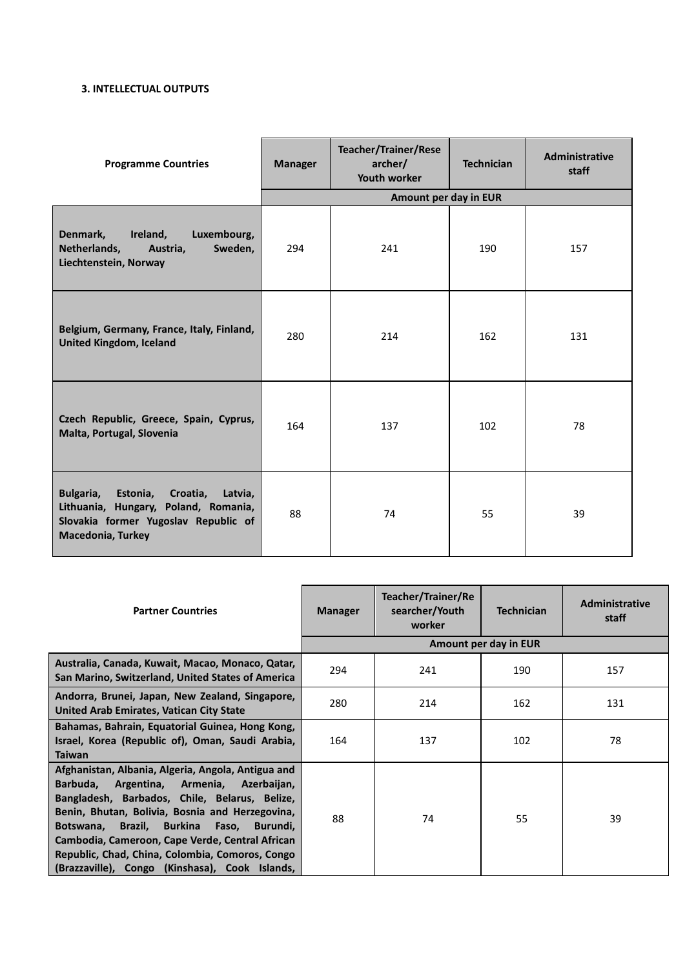## **3. INTELLECTUAL OUTPUTS**

| <b>Programme Countries</b>                                                                                                                            | <b>Manager</b> | <b>Teacher/Trainer/Rese</b><br>archer/<br><b>Youth worker</b> | <b>Technician</b> | Administrative<br>staff |
|-------------------------------------------------------------------------------------------------------------------------------------------------------|----------------|---------------------------------------------------------------|-------------------|-------------------------|
|                                                                                                                                                       |                | Amount per day in EUR                                         |                   |                         |
| Denmark,<br>Ireland,<br>Luxembourg,<br>Netherlands,<br>Austria,<br>Sweden,<br>Liechtenstein, Norway                                                   | 294            | 241                                                           | 190               | 157                     |
| Belgium, Germany, France, Italy, Finland,<br><b>United Kingdom, Iceland</b>                                                                           | 280            | 214                                                           | 162               | 131                     |
| Czech Republic, Greece, Spain, Cyprus,<br>Malta, Portugal, Slovenia                                                                                   | 164            | 137                                                           | 102               | 78                      |
| Bulgaria,<br>Estonia, Croatia,<br>Latvia,<br>Lithuania, Hungary, Poland, Romania,<br>Slovakia former Yugoslav Republic of<br><b>Macedonia, Turkey</b> | 88             | 74                                                            | 55                | 39                      |

| <b>Partner Countries</b>                                                                                                                                                                                                                                                                                                                                                                                        | <b>Manager</b>        | Teacher/Trainer/Re<br>searcher/Youth<br>worker | <b>Technician</b> | <b>Administrative</b><br>staff |  |  |
|-----------------------------------------------------------------------------------------------------------------------------------------------------------------------------------------------------------------------------------------------------------------------------------------------------------------------------------------------------------------------------------------------------------------|-----------------------|------------------------------------------------|-------------------|--------------------------------|--|--|
|                                                                                                                                                                                                                                                                                                                                                                                                                 | Amount per day in EUR |                                                |                   |                                |  |  |
| Australia, Canada, Kuwait, Macao, Monaco, Qatar,<br>San Marino, Switzerland, United States of America                                                                                                                                                                                                                                                                                                           | 294                   | 241                                            | 190               | 157                            |  |  |
| Andorra, Brunei, Japan, New Zealand, Singapore,<br>United Arab Emirates, Vatican City State                                                                                                                                                                                                                                                                                                                     | 280                   | 214                                            | 162               | 131                            |  |  |
| Bahamas, Bahrain, Equatorial Guinea, Hong Kong,<br>Israel, Korea (Republic of), Oman, Saudi Arabia,<br><b>Taiwan</b>                                                                                                                                                                                                                                                                                            | 164                   | 137                                            | 102               | 78                             |  |  |
| Afghanistan, Albania, Algeria, Angola, Antigua and<br>Barbuda,<br>Argentina, Armenia, Azerbaijan,<br>Bangladesh, Barbados, Chile, Belarus, Belize,<br>Benin, Bhutan, Bolivia, Bosnia and Herzegovina,<br>Botswana, Brazil, Burkina<br>Faso,<br>Burundi,<br>Cambodia, Cameroon, Cape Verde, Central African<br>Republic, Chad, China, Colombia, Comoros, Congo<br>(Brazzaville), Congo (Kinshasa), Cook Islands, | 88                    | 74                                             | 55                | 39                             |  |  |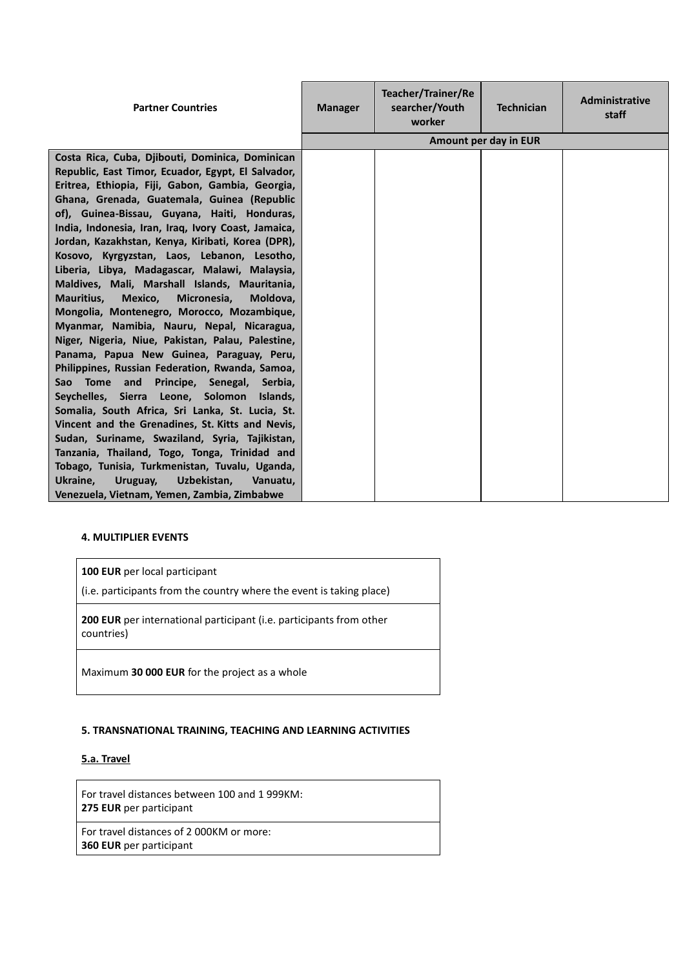| <b>Partner Countries</b>                                                                                                                                                                                                                                                                                                                                                                                                                                                                                                                                                                                                                                                                                                                                                                                                                                                                                                                                                                                                                                                                                                                                                                                                                     | <b>Manager</b> | <b>Teacher/Trainer/Re</b><br>searcher/Youth<br>worker | <b>Technician</b>     | Administrative<br>staff |
|----------------------------------------------------------------------------------------------------------------------------------------------------------------------------------------------------------------------------------------------------------------------------------------------------------------------------------------------------------------------------------------------------------------------------------------------------------------------------------------------------------------------------------------------------------------------------------------------------------------------------------------------------------------------------------------------------------------------------------------------------------------------------------------------------------------------------------------------------------------------------------------------------------------------------------------------------------------------------------------------------------------------------------------------------------------------------------------------------------------------------------------------------------------------------------------------------------------------------------------------|----------------|-------------------------------------------------------|-----------------------|-------------------------|
|                                                                                                                                                                                                                                                                                                                                                                                                                                                                                                                                                                                                                                                                                                                                                                                                                                                                                                                                                                                                                                                                                                                                                                                                                                              |                |                                                       | Amount per day in EUR |                         |
| Costa Rica, Cuba, Djibouti, Dominica, Dominican<br>Republic, East Timor, Ecuador, Egypt, El Salvador,<br>Eritrea, Ethiopia, Fiji, Gabon, Gambia, Georgia,<br>Ghana, Grenada, Guatemala, Guinea (Republic<br>of), Guinea-Bissau, Guyana, Haiti, Honduras,<br>India, Indonesia, Iran, Iraq, Ivory Coast, Jamaica,<br>Jordan, Kazakhstan, Kenya, Kiribati, Korea (DPR),<br>Kosovo, Kyrgyzstan, Laos, Lebanon, Lesotho,<br>Liberia, Libya, Madagascar, Malawi, Malaysia,<br>Maldives, Mali, Marshall Islands, Mauritania,<br>Mauritius,<br>Mexico,<br>Micronesia,<br>Moldova,<br>Mongolia, Montenegro, Morocco, Mozambique,<br>Myanmar, Namibia, Nauru, Nepal, Nicaragua,<br>Niger, Nigeria, Niue, Pakistan, Palau, Palestine,<br>Panama, Papua New Guinea, Paraguay, Peru,<br>Philippines, Russian Federation, Rwanda, Samoa,<br>Tome and<br>Principe, Senegal,<br>Sao<br>Serbia,<br>Seychelles, Sierra Leone, Solomon Islands,<br>Somalia, South Africa, Sri Lanka, St. Lucia, St.<br>Vincent and the Grenadines, St. Kitts and Nevis,<br>Sudan, Suriname, Swaziland, Syria, Tajikistan,<br>Tanzania, Thailand, Togo, Tonga, Trinidad and<br>Tobago, Tunisia, Turkmenistan, Tuvalu, Uganda,<br>Uzbekistan,<br>Ukraine,<br>Uruguay,<br>Vanuatu, |                |                                                       |                       |                         |
| Venezuela, Vietnam, Yemen, Zambia, Zimbabwe                                                                                                                                                                                                                                                                                                                                                                                                                                                                                                                                                                                                                                                                                                                                                                                                                                                                                                                                                                                                                                                                                                                                                                                                  |                |                                                       |                       |                         |

## **4. MULTIPLIER EVENTS**

|  | 100 EUR per local participant |  |
|--|-------------------------------|--|
|--|-------------------------------|--|

(i.e. participants from the country where the event is taking place)

**200 EUR** per international participant (i.e. participants from other countries)

Maximum **30 000 EUR** for the project as a whole

#### **5. TRANSNATIONAL TRAINING, TEACHING AND LEARNING ACTIVITIES**

#### **5.a. Travel**

For travel distances between 100 and 1 999KM: **275 EUR** per participant

For travel distances of 2 000KM or more: **360 EUR** per participant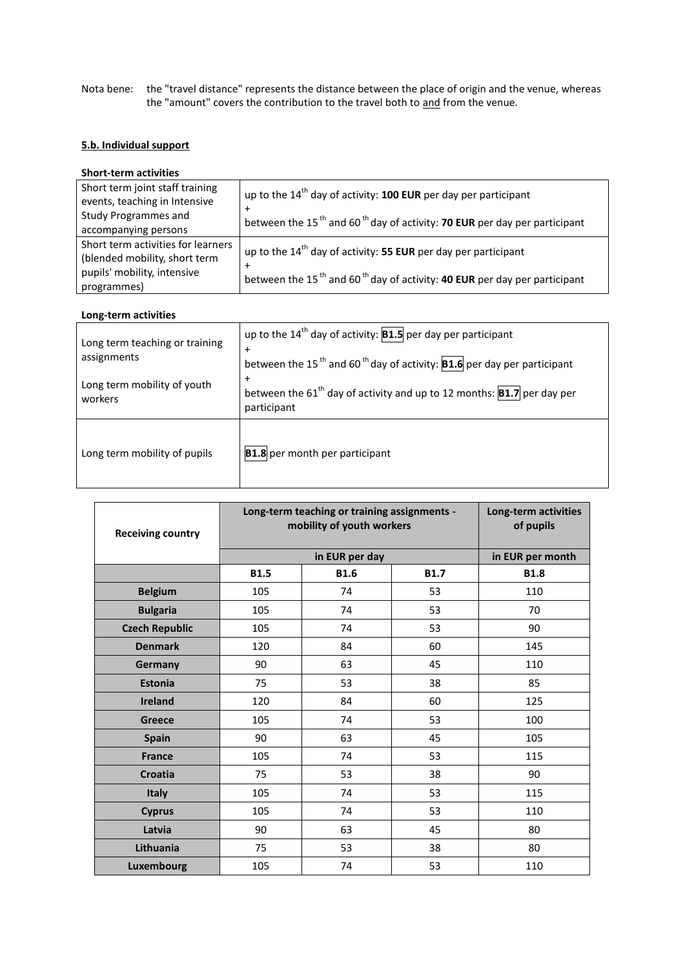Nota bene: the "travel distance" represents the distance between the place of origin and the venue, whereas the "amount" covers the contribution to the travel both to and from the venue.

## **5.b. Individual support**

## **Short-term activities**

| Short term joint staff training<br>events, teaching in Intensive<br><b>Study Programmes and</b><br>accompanying persons | up to the $14th$ day of activity: <b>100 EUR</b> per day per participant<br>$\pm$<br>between the 15 <sup>th</sup> and 60 <sup>th</sup> day of activity: <b>70 EUR</b> per day per participant |
|-------------------------------------------------------------------------------------------------------------------------|-----------------------------------------------------------------------------------------------------------------------------------------------------------------------------------------------|
| Short term activities for learners<br>(blended mobility, short term<br>pupils' mobility, intensive<br>programmes)       | up to the $14^{th}$ day of activity: 55 EUR per day per participant<br>$\pm$<br>between the 15 <sup>th</sup> and 60 <sup>th</sup> day of activity: <b>40 EUR</b> per day per participant      |

#### **Long-term activities**

| Long term teaching or training<br>assignments<br>Long term mobility of youth<br>workers | up to the 14 <sup>th</sup> day of activity: $ B1.5 $ per day per participant<br>$\ddot{}$<br>between the 15 <sup>th</sup> and 60 <sup>th</sup> day of activity: <b>B1.6</b> per day per participant<br>$+$<br>between the 61 <sup>th</sup> day of activity and up to 12 months: $ B1.7 $ per day per<br>participant |
|-----------------------------------------------------------------------------------------|---------------------------------------------------------------------------------------------------------------------------------------------------------------------------------------------------------------------------------------------------------------------------------------------------------------------|
| Long term mobility of pupils                                                            | <b>B1.8</b> per month per participant                                                                                                                                                                                                                                                                               |

| <b>Receiving country</b> | Long-term teaching or training assignments -<br>mobility of youth workers | Long-term activities<br>of pupils |             |                  |
|--------------------------|---------------------------------------------------------------------------|-----------------------------------|-------------|------------------|
|                          |                                                                           | in EUR per day                    |             | in EUR per month |
|                          | <b>B1.5</b>                                                               | <b>B1.6</b>                       | <b>B1.7</b> | <b>B1.8</b>      |
| <b>Belgium</b>           | 105                                                                       | 74                                | 53          | 110              |
| <b>Bulgaria</b>          | 105                                                                       | 74                                | 53          | 70               |
| <b>Czech Republic</b>    | 105                                                                       | 74                                | 53          | 90               |
| <b>Denmark</b>           | 120                                                                       | 84                                | 60          | 145              |
| Germany                  | 90                                                                        | 63                                | 45          | 110              |
| <b>Estonia</b>           | 75                                                                        | 53                                | 38          | 85               |
| <b>Ireland</b>           | 120                                                                       | 84                                | 60          | 125              |
| <b>Greece</b>            | 105                                                                       | 74                                | 53          | 100              |
| <b>Spain</b>             | 90                                                                        | 63                                | 45          | 105              |
| <b>France</b>            | 105                                                                       | 74                                | 53          | 115              |
| <b>Croatia</b>           | 75                                                                        | 53                                | 38          | 90               |
| <b>Italy</b>             | 105                                                                       | 74                                | 53          | 115              |
| <b>Cyprus</b>            | 105                                                                       | 74                                | 53          | 110              |
| Latvia                   | 90                                                                        | 63                                | 45          | 80               |
| Lithuania                | 75                                                                        | 53                                | 38          | 80               |
| Luxembourg               | 105                                                                       | 74                                | 53          | 110              |